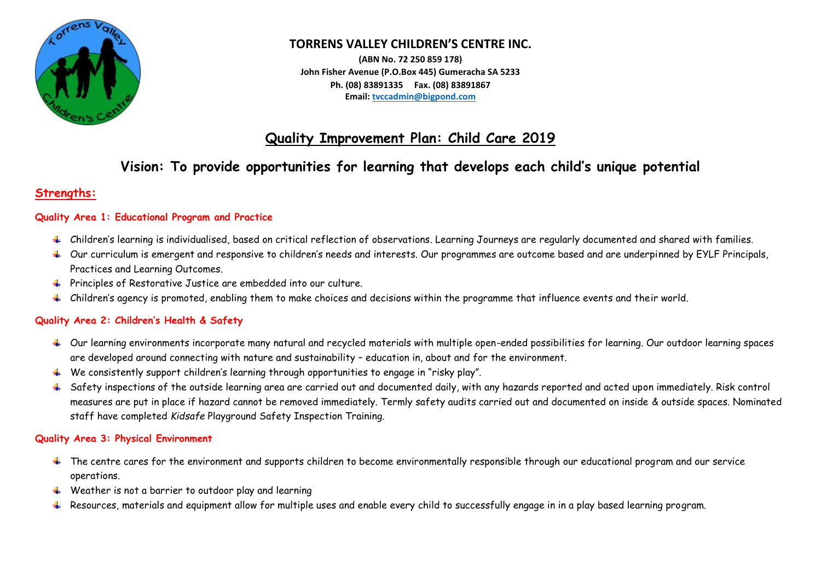

## **TORRENS VALLEY CHILDREN'S CENTRE INC.**

**(ABN No. 72 250 859 178) John Fisher Avenue (P.O.Box 445) Gumeracha SA 5233 Ph. (08) 83891335 Fax. (08) 83891867 Email: [tvccadmin@bigpond.com](mailto:tvccadmin@bigpond.com)**

## **Quality Improvement Plan: Child Care 2019**

# **Vision: To provide opportunities for learning that develops each child's unique potential**

## **Strengths:**

### **Quality Area 1: Educational Program and Practice**

- Children's learning is individualised, based on critical reflection of observations. Learning Journeys are regularly documented and shared with families.
- Our curriculum is emergent and responsive to children's needs and interests. Our programmes are outcome based and are underpinned by EYLF Principals, Practices and Learning Outcomes.
- Principles of Restorative Justice are embedded into our culture.
- $\ddot{\phantom{a}}$  Children's agency is promoted, enabling them to make choices and decisions within the programme that influence events and their world.

### **Quality Area 2: Children's Health & Safety**

- $\textcolor{red}{\textbf{I}}$  Our learning environments incorporate many natural and recycled materials with multiple open-ended possibilities for learning. Our outdoor learning spaces are developed around connecting with nature and sustainability – education in, about and for the environment.
- We consistently support children's learning through opportunities to engage in "risky play".
- + Safety inspections of the outside learning area are carried out and documented daily, with any hazards reported and acted upon immediately. Risk control measures are put in place if hazard cannot be removed immediately. Termly safety audits carried out and documented on inside & outside spaces. Nominated staff have completed *Kidsafe* Playground Safety Inspection Training.

### **Quality Area 3: Physical Environment**

- $\ddotmark$  The centre cares for the environment and supports children to become environmentally responsible through our educational program and our service operations.
- $\ddotmark$  Weather is not a barrier to outdoor play and learning
- + Resources, materials and equipment allow for multiple uses and enable every child to successfully engage in in a play based learning program.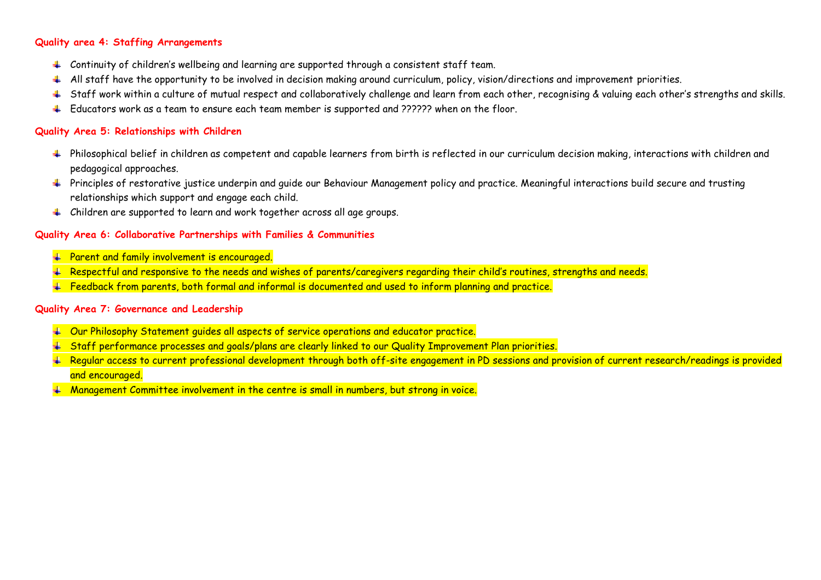#### **Quality area 4: Staffing Arrangements**

- $\pm$  Continuity of children's wellbeing and learning are supported through a consistent staff team.
- 4 All staff have the opportunity to be involved in decision making around curriculum, policy, vision/directions and improvement priorities.
- + Staff work within a culture of mutual respect and collaboratively challenge and learn from each other, recognising & valuing each other's strengths and skills.
- Educators work as a team to ensure each team member is supported and ?????? when on the floor.

#### **Quality Area 5: Relationships with Children**

- + Philosophical belief in children as competent and capable learners from birth is reflected in our curriculum decision making, interactions with children and pedagogical approaches.
- + Principles of restorative justice underpin and quide our Behaviour Management policy and practice. Meaningful interactions build secure and trusting relationships which support and engage each child.
- Children are supported to learn and work together across all age groups.

#### **Quality Area 6: Collaborative Partnerships with Families & Communities**

- **Farent and family involvement is encouraged.**
- $\textcolor{red}{\textbf{4}}$  Respectful and responsive to the needs and wishes of parents/caregivers regarding their child's routines, strengths and needs.
- $F$  Feedback from parents, both formal and informal is documented and used to inform planning and practice.

#### **Quality Area 7: Governance and Leadership**

- $+$  Our Philosophy Statement quides all aspects of service operations and educator practice.
- $\textcolor{blue}{\textbf{+}}$  Staff performance processes and goals/plans are clearly linked to our Quality Improvement Plan priorities.
- $\textcolor{red}{\textbf{4}}$  Regular access to current professional development through both off-site engagement in PD sessions and provision of current research/readings is provided and encouraged.
- $#$  Management Committee involvement in the centre is small in numbers, but strong in voice.